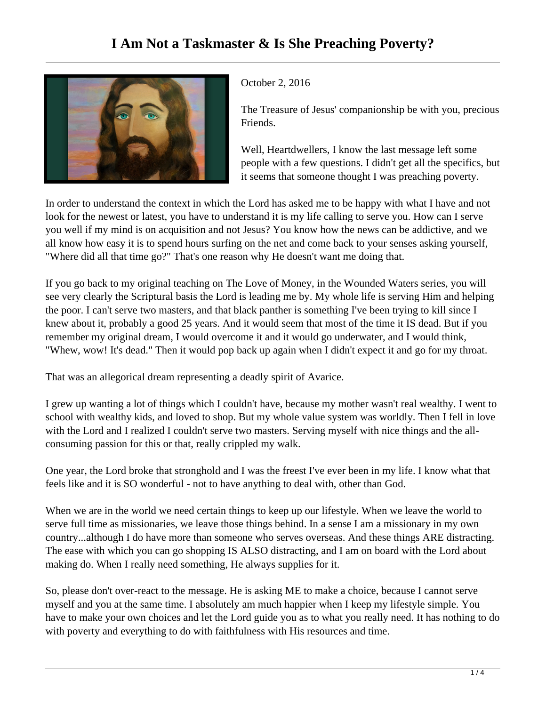

October 2, 2016

The Treasure of Jesus' companionship be with you, precious Friends.

Well, Heartdwellers, I know the last message left some people with a few questions. I didn't get all the specifics, but it seems that someone thought I was preaching poverty.

In order to understand the context in which the Lord has asked me to be happy with what I have and not look for the newest or latest, you have to understand it is my life calling to serve you. How can I serve you well if my mind is on acquisition and not Jesus? You know how the news can be addictive, and we all know how easy it is to spend hours surfing on the net and come back to your senses asking yourself, "Where did all that time go?" That's one reason why He doesn't want me doing that.

If you go back to my original teaching on The Love of Money, in the Wounded Waters series, you will see very clearly the Scriptural basis the Lord is leading me by. My whole life is serving Him and helping the poor. I can't serve two masters, and that black panther is something I've been trying to kill since I knew about it, probably a good 25 years. And it would seem that most of the time it IS dead. But if you remember my original dream, I would overcome it and it would go underwater, and I would think, "Whew, wow! It's dead." Then it would pop back up again when I didn't expect it and go for my throat.

That was an allegorical dream representing a deadly spirit of Avarice.

I grew up wanting a lot of things which I couldn't have, because my mother wasn't real wealthy. I went to school with wealthy kids, and loved to shop. But my whole value system was worldly. Then I fell in love with the Lord and I realized I couldn't serve two masters. Serving myself with nice things and the allconsuming passion for this or that, really crippled my walk.

One year, the Lord broke that stronghold and I was the freest I've ever been in my life. I know what that feels like and it is SO wonderful - not to have anything to deal with, other than God.

When we are in the world we need certain things to keep up our lifestyle. When we leave the world to serve full time as missionaries, we leave those things behind. In a sense I am a missionary in my own country...although I do have more than someone who serves overseas. And these things ARE distracting. The ease with which you can go shopping IS ALSO distracting, and I am on board with the Lord about making do. When I really need something, He always supplies for it.

So, please don't over-react to the message. He is asking ME to make a choice, because I cannot serve myself and you at the same time. I absolutely am much happier when I keep my lifestyle simple. You have to make your own choices and let the Lord guide you as to what you really need. It has nothing to do with poverty and everything to do with faithfulness with His resources and time.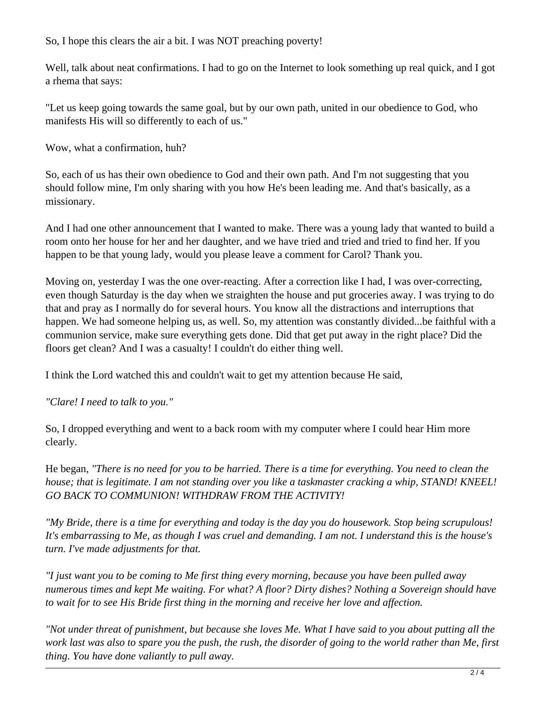So, I hope this clears the air a bit. I was NOT preaching poverty!

Well, talk about neat confirmations. I had to go on the Internet to look something up real quick, and I got a rhema that says:

"Let us keep going towards the same goal, but by our own path, united in our obedience to God, who manifests His will so differently to each of us."

Wow, what a confirmation, huh?

So, each of us has their own obedience to God and their own path. And I'm not suggesting that you should follow mine, I'm only sharing with you how He's been leading me. And that's basically, as a missionary.

And I had one other announcement that I wanted to make. There was a young lady that wanted to build a room onto her house for her and her daughter, and we have tried and tried and tried to find her. If you happen to be that young lady, would you please leave a comment for Carol? Thank you.

Moving on, yesterday I was the one over-reacting. After a correction like I had, I was over-correcting, even though Saturday is the day when we straighten the house and put groceries away. I was trying to do that and pray as I normally do for several hours. You know all the distractions and interruptions that happen. We had someone helping us, as well. So, my attention was constantly divided...be faithful with a communion service, make sure everything gets done. Did that get put away in the right place? Did the floors get clean? And I was a casualty! I couldn't do either thing well.

I think the Lord watched this and couldn't wait to get my attention because He said,

*"Clare! I need to talk to you."* 

So, I dropped everything and went to a back room with my computer where I could hear Him more clearly.

He began, *"There is no need for you to be harried. There is a time for everything. You need to clean the house; that is legitimate. I am not standing over you like a taskmaster cracking a whip, STAND! KNEEL! GO BACK TO COMMUNION! WITHDRAW FROM THE ACTIVITY!* 

*"My Bride, there is a time for everything and today is the day you do housework. Stop being scrupulous! It's embarrassing to Me, as though I was cruel and demanding. I am not. I understand this is the house's turn. I've made adjustments for that.*

*"I just want you to be coming to Me first thing every morning, because you have been pulled away numerous times and kept Me waiting. For what? A floor? Dirty dishes? Nothing a Sovereign should have to wait for to see His Bride first thing in the morning and receive her love and affection.*

*"Not under threat of punishment, but because she loves Me. What I have said to you about putting all the work last was also to spare you the push, the rush, the disorder of going to the world rather than Me, first thing. You have done valiantly to pull away.*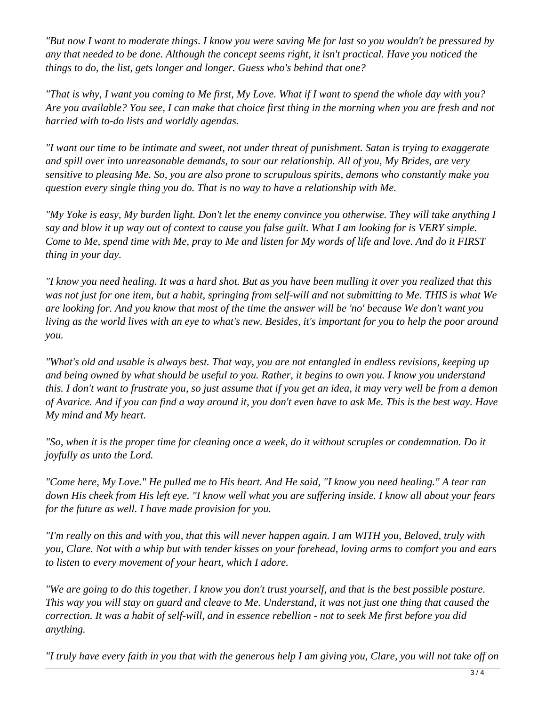*"But now I want to moderate things. I know you were saving Me for last so you wouldn't be pressured by any that needed to be done. Although the concept seems right, it isn't practical. Have you noticed the things to do, the list, gets longer and longer. Guess who's behind that one?*

*"That is why, I want you coming to Me first, My Love. What if I want to spend the whole day with you? Are you available? You see, I can make that choice first thing in the morning when you are fresh and not harried with to-do lists and worldly agendas.* 

*"I want our time to be intimate and sweet, not under threat of punishment. Satan is trying to exaggerate and spill over into unreasonable demands, to sour our relationship. All of you, My Brides, are very sensitive to pleasing Me. So, you are also prone to scrupulous spirits, demons who constantly make you question every single thing you do. That is no way to have a relationship with Me.* 

*"My Yoke is easy, My burden light. Don't let the enemy convince you otherwise. They will take anything I say and blow it up way out of context to cause you false guilt. What I am looking for is VERY simple. Come to Me, spend time with Me, pray to Me and listen for My words of life and love. And do it FIRST thing in your day.*

*"I know you need healing. It was a hard shot. But as you have been mulling it over you realized that this was not just for one item, but a habit, springing from self-will and not submitting to Me. THIS is what We are looking for. And you know that most of the time the answer will be 'no' because We don't want you living as the world lives with an eye to what's new. Besides, it's important for you to help the poor around you.*

*"What's old and usable is always best. That way, you are not entangled in endless revisions, keeping up and being owned by what should be useful to you. Rather, it begins to own you. I know you understand this. I don't want to frustrate you, so just assume that if you get an idea, it may very well be from a demon of Avarice. And if you can find a way around it, you don't even have to ask Me. This is the best way. Have My mind and My heart.* 

*"So, when it is the proper time for cleaning once a week, do it without scruples or condemnation. Do it joyfully as unto the Lord.* 

*"Come here, My Love." He pulled me to His heart. And He said, "I know you need healing." A tear ran down His cheek from His left eye. "I know well what you are suffering inside. I know all about your fears for the future as well. I have made provision for you.*

*"I'm really on this and with you, that this will never happen again. I am WITH you, Beloved, truly with you, Clare. Not with a whip but with tender kisses on your forehead, loving arms to comfort you and ears to listen to every movement of your heart, which I adore.*

*"We are going to do this together. I know you don't trust yourself, and that is the best possible posture. This way you will stay on guard and cleave to Me. Understand, it was not just one thing that caused the correction. It was a habit of self-will, and in essence rebellion - not to seek Me first before you did anything.* 

*"I truly have every faith in you that with the generous help I am giving you, Clare, you will not take off on*